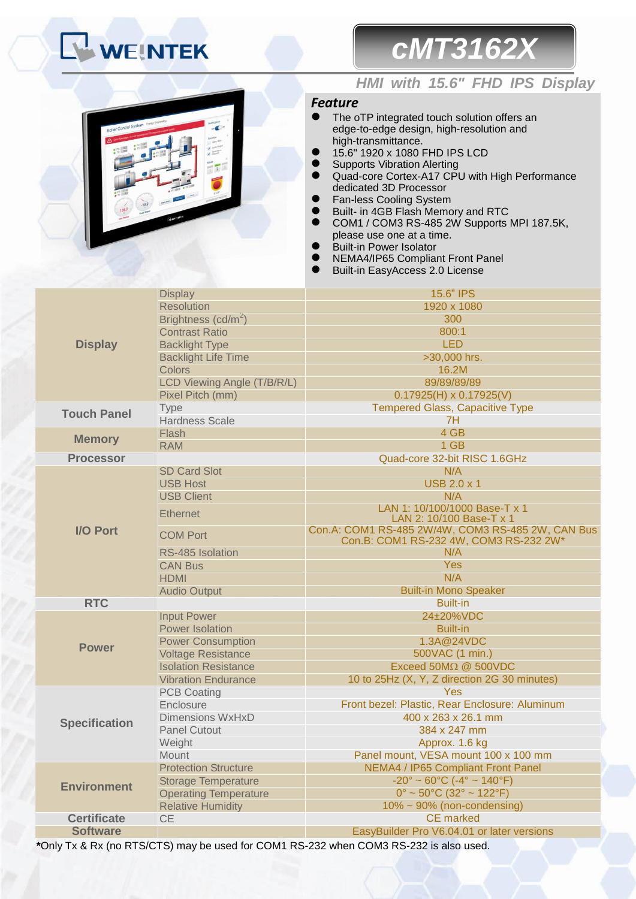# **WEINTEK**

## *cMT3162X*



### *HMI with 15.6" FHD IPS Display*

### *Feature*

- The oTP integrated touch solution offers an edge-to-edge design, high-resolution and high-transmittance.
- 15.6" 1920 x 1080 FHD IPS LCD
- **•** Supports Vibration Alerting
- Quad-core Cortex-A17 CPU with High Performance dedicated 3D Processor
- **•** Fan-less Cooling System
- **Built- in 4GB Flash Memory and RTC**
- COM1 / COM3 RS-485 2W Supports MPI 187.5K, please use one at a time.
- Built-in Power Isolator
- NEMA4/IP65 Compliant Front Panel
- Built-in EasyAccess 2.0 License

|                      | <b>Display</b>                  | 15.6" IPS                                                                                   |  |  |
|----------------------|---------------------------------|---------------------------------------------------------------------------------------------|--|--|
|                      | <b>Resolution</b>               | 1920 x 1080                                                                                 |  |  |
|                      | Brightness (cd/m <sup>2</sup> ) | 300                                                                                         |  |  |
|                      | <b>Contrast Ratio</b>           | 800:1                                                                                       |  |  |
| <b>Display</b>       | <b>Backlight Type</b>           | <b>LED</b>                                                                                  |  |  |
|                      | <b>Backlight Life Time</b>      | >30,000 hrs.                                                                                |  |  |
|                      | Colors                          | 16.2M                                                                                       |  |  |
|                      | LCD Viewing Angle (T/B/R/L)     | 89/89/89/89                                                                                 |  |  |
|                      | Pixel Pitch (mm)                | $0.17925(H) \times 0.17925(V)$                                                              |  |  |
| <b>Touch Panel</b>   | <b>Type</b>                     | <b>Tempered Glass, Capacitive Type</b>                                                      |  |  |
|                      | <b>Hardness Scale</b>           | 7H                                                                                          |  |  |
| <b>Memory</b>        | Flash                           | 4 GB                                                                                        |  |  |
|                      | <b>RAM</b>                      | 1 GB                                                                                        |  |  |
| <b>Processor</b>     |                                 | Quad-core 32-bit RISC 1.6GHz                                                                |  |  |
|                      | <b>SD Card Slot</b>             | N/A                                                                                         |  |  |
|                      | <b>USB Host</b>                 | <b>USB 2.0 x 1</b>                                                                          |  |  |
|                      | <b>USB Client</b>               | N/A                                                                                         |  |  |
| <b>I/O Port</b>      | <b>Ethernet</b>                 | LAN 1: 10/100/1000 Base-T x 1<br>LAN 2: 10/100 Base-T x 1                                   |  |  |
|                      | <b>COM Port</b>                 | Con.A: COM1 RS-485 2W/4W, COM3 RS-485 2W, CAN Bus<br>Con.B: COM1 RS-232 4W, COM3 RS-232 2W* |  |  |
|                      | RS-485 Isolation                | N/A                                                                                         |  |  |
|                      | <b>CAN Bus</b>                  | <b>Yes</b>                                                                                  |  |  |
|                      | <b>HDMI</b>                     | N/A                                                                                         |  |  |
|                      | <b>Audio Output</b>             | <b>Built-in Mono Speaker</b>                                                                |  |  |
| <b>RTC</b>           |                                 | <b>Built-in</b>                                                                             |  |  |
|                      | <b>Input Power</b>              | 24±20%VDC                                                                                   |  |  |
|                      | <b>Power Isolation</b>          | <b>Built-in</b>                                                                             |  |  |
| <b>Power</b>         | <b>Power Consumption</b>        | 1.3A@24VDC                                                                                  |  |  |
|                      | <b>Voltage Resistance</b>       | 500VAC (1 min.)                                                                             |  |  |
|                      | <b>Isolation Resistance</b>     | Exceed $50M\Omega$ $@$ $500VDC$                                                             |  |  |
|                      | <b>Vibration Endurance</b>      | 10 to 25Hz (X, Y, Z direction 2G 30 minutes)                                                |  |  |
|                      | <b>PCB Coating</b>              | <b>Yes</b>                                                                                  |  |  |
|                      | Enclosure                       | Front bezel: Plastic, Rear Enclosure: Aluminum                                              |  |  |
| <b>Specification</b> | <b>Dimensions WxHxD</b>         | 400 x 263 x 26.1 mm                                                                         |  |  |
|                      | <b>Panel Cutout</b>             | 384 x 247 mm                                                                                |  |  |
|                      | Weight                          | Approx. 1.6 kg                                                                              |  |  |
|                      | Mount                           | Panel mount, VESA mount 100 x 100 mm                                                        |  |  |
|                      | <b>Protection Structure</b>     | <b>NEMA4 / IP65 Compliant Front Panel</b>                                                   |  |  |
| <b>Environment</b>   | <b>Storage Temperature</b>      | $-20^{\circ} \sim 60^{\circ}$ C ( $-4^{\circ} \sim 140^{\circ}$ F)                          |  |  |
|                      | <b>Operating Temperature</b>    | $0^{\circ}$ ~ 50°C (32° ~ 122°F)                                                            |  |  |
|                      | <b>Relative Humidity</b>        | $10\% \sim 90\%$ (non-condensing)                                                           |  |  |
| <b>Certificate</b>   | <b>CE</b>                       | <b>CE</b> marked                                                                            |  |  |
| <b>Software</b>      |                                 | EasyBuilder Pro V6.04.01 or later versions                                                  |  |  |

**\***Only Tx & Rx (no RTS/CTS) may be used for COM1 RS-232 when COM3 RS-232 is also used.